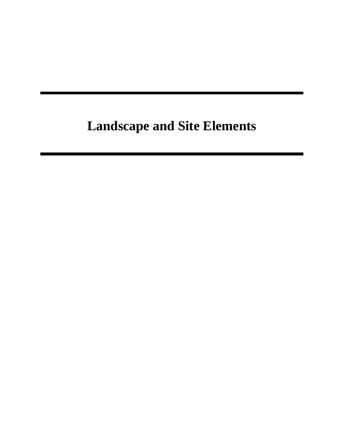# **Landscape and Site Elements**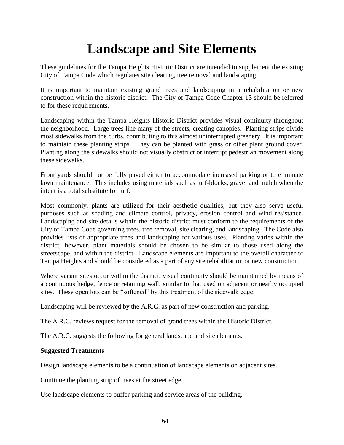## **Landscape and Site Elements**

These guidelines for the Tampa Heights Historic District are intended to supplement the existing City of Tampa Code which regulates site clearing, tree removal and landscaping.

It is important to maintain existing grand trees and landscaping in a rehabilitation or new construction within the historic district. The City of Tampa Code Chapter 13 should be referred to for these requirements.

Landscaping within the Tampa Heights Historic District provides visual continuity throughout the neighborhood. Large trees line many of the streets, creating canopies. Planting strips divide most sidewalks from the curbs, contributing to this almost uninterrupted greenery. It is important to maintain these planting strips. They can be planted with grass or other plant ground cover. Planting along the sidewalks should not visually obstruct or interrupt pedestrian movement along these sidewalks.

Front yards should not be fully paved either to accommodate increased parking or to eliminate lawn maintenance. This includes using materials such as turf-blocks, gravel and mulch when the intent is a total substitute for turf.

Most commonly, plants are utilized for their aesthetic qualities, but they also serve useful purposes such as shading and climate control, privacy, erosion control and wind resistance. Landscaping and site details within the historic district must conform to the requirements of the City of Tampa Code governing trees, tree removal, site clearing, and landscaping. The Code also provides lists of appropriate trees and landscaping for various uses. Planting varies within the district; however, plant materials should be chosen to be similar to those used along the streetscape, and within the district. Landscape elements are important to the overall character of Tampa Heights and should be considered as a part of any site rehabilitation or new construction.

Where vacant sites occur within the district, visual continuity should be maintained by means of a continuous hedge, fence or retaining wall, similar to that used on adjacent or nearby occupied sites. These open lots can be "softened" by this treatment of the sidewalk edge.

Landscaping will be reviewed by the A.R.C. as part of new construction and parking.

The A.R.C. reviews request for the removal of grand trees within the Historic District.

The A.R.C. suggests the following for general landscape and site elements.

#### **Suggested Treatments**

Design landscape elements to be a continuation of landscape elements on adjacent sites.

Continue the planting strip of trees at the street edge.

Use landscape elements to buffer parking and service areas of the building.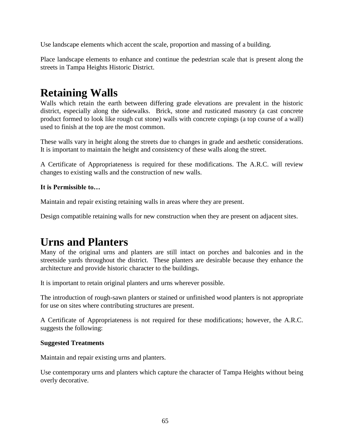Use landscape elements which accent the scale, proportion and massing of a building.

Place landscape elements to enhance and continue the pedestrian scale that is present along the streets in Tampa Heights Historic District.

### **Retaining Walls**

Walls which retain the earth between differing grade elevations are prevalent in the historic district, especially along the sidewalks. Brick, stone and rusticated masonry (a cast concrete product formed to look like rough cut stone) walls with concrete copings (a top course of a wall) used to finish at the top are the most common.

These walls vary in height along the streets due to changes in grade and aesthetic considerations. It is important to maintain the height and consistency of these walls along the street.

A Certificate of Appropriateness is required for these modifications. The A.R.C. will review changes to existing walls and the construction of new walls.

#### **It is Permissible to…**

Maintain and repair existing retaining walls in areas where they are present.

Design compatible retaining walls for new construction when they are present on adjacent sites.

### **Urns and Planters**

Many of the original urns and planters are still intact on porches and balconies and in the streetside yards throughout the district. These planters are desirable because they enhance the architecture and provide historic character to the buildings.

It is important to retain original planters and urns wherever possible.

The introduction of rough-sawn planters or stained or unfinished wood planters is not appropriate for use on sites where contributing structures are present.

A Certificate of Appropriateness is not required for these modifications; however, the A.R.C. suggests the following:

#### **Suggested Treatments**

Maintain and repair existing urns and planters.

Use contemporary urns and planters which capture the character of Tampa Heights without being overly decorative.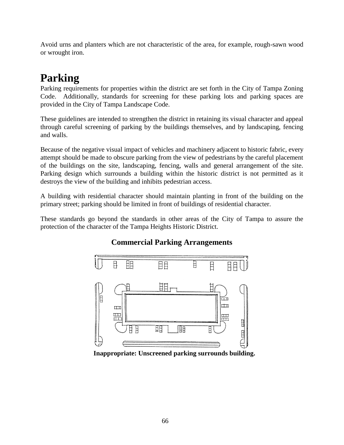Avoid urns and planters which are not characteristic of the area, for example, rough-sawn wood or wrought iron.

### **Parking**

Parking requirements for properties within the district are set forth in the City of Tampa Zoning Code. Additionally, standards for screening for these parking lots and parking spaces are provided in the City of Tampa Landscape Code.

These guidelines are intended to strengthen the district in retaining its visual character and appeal through careful screening of parking by the buildings themselves, and by landscaping, fencing and walls.

Because of the negative visual impact of vehicles and machinery adjacent to historic fabric, every attempt should be made to obscure parking from the view of pedestrians by the careful placement of the buildings on the site, landscaping, fencing, walls and general arrangement of the site. Parking design which surrounds a building within the historic district is not permitted as it destroys the view of the building and inhibits pedestrian access.

A building with residential character should maintain planting in front of the building on the primary street; parking should be limited in front of buildings of residential character.

These standards go beyond the standards in other areas of the City of Tampa to assure the protection of the character of the Tampa Heights Historic District.

#### **Commercial Parking Arrangements**



**Inappropriate: Unscreened parking surrounds building.**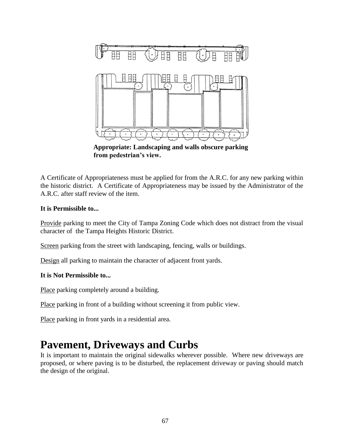

**Appropriate: Landscaping and walls obscure parking from pedestrian's view.**

A Certificate of Appropriateness must be applied for from the A.R.C. for any new parking within the historic district. A Certificate of Appropriateness may be issued by the Administrator of the A.R.C. after staff review of the item.

#### **It is Permissible to...**

Provide parking to meet the City of Tampa Zoning Code which does not distract from the visual character of the Tampa Heights Historic District.

Screen parking from the street with landscaping, fencing, walls or buildings.

Design all parking to maintain the character of adjacent front yards.

#### **It is Not Permissible to...**

Place parking completely around a building.

Place parking in front of a building without screening it from public view.

Place parking in front yards in a residential area.

### **Pavement, Driveways and Curbs**

It is important to maintain the original sidewalks wherever possible. Where new driveways are proposed, or where paving is to be disturbed, the replacement driveway or paving should match the design of the original.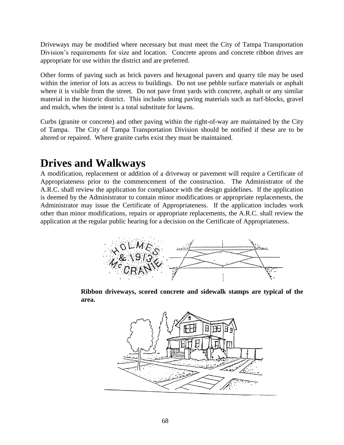Driveways may be modified where necessary but must meet the City of Tampa Transportation Division's requirements for size and location. Concrete aprons and concrete ribbon drives are appropriate for use within the district and are preferred.

Other forms of paving such as brick pavers and hexagonal pavers and quarry tile may be used within the interior of lots as access to buildings. Do not use pebble surface materials or asphalt where it is visible from the street. Do not pave front yards with concrete, asphalt or any similar material in the historic district. This includes using paving materials such as turf-blocks, gravel and mulch, when the intent is a total substitute for lawns.

Curbs (granite or concrete) and other paving within the right-of-way are maintained by the City of Tampa. The City of Tampa Transportation Division should be notified if these are to be altered or repaired. Where granite curbs exist they must be maintained.

### **Drives and Walkways**

A modification, replacement or addition of a driveway or pavement will require a Certificate of Appropriateness prior to the commencement of the construction. The Administrator of the A.R.C. shall review the application for compliance with the design guidelines. If the application is deemed by the Administrator to contain minor modifications or appropriate replacements, the Administrator may issue the Certificate of Appropriateness. If the application includes work other than minor modifications, repairs or appropriate replacements, the A.R.C. shall review the application at the regular public hearing for a decision on the Certificate of Appropriateness.



**Ribbon driveways, scored concrete and sidewalk stamps are typical of the area.**

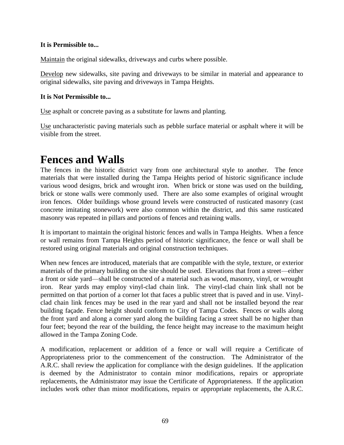#### **It is Permissible to...**

Maintain the original sidewalks, driveways and curbs where possible.

Develop new sidewalks, site paving and driveways to be similar in material and appearance to original sidewalks, site paving and driveways in Tampa Heights.

#### **It is Not Permissible to...**

Use asphalt or concrete paving as a substitute for lawns and planting.

Use uncharacteristic paving materials such as pebble surface material or asphalt where it will be visible from the street.

### **Fences and Walls**

The fences in the historic district vary from one architectural style to another. The fence materials that were installed during the Tampa Heights period of historic significance include various wood designs, brick and wrought iron. When brick or stone was used on the building, brick or stone walls were commonly used. There are also some examples of original wrought iron fences. Older buildings whose ground levels were constructed of rusticated masonry (cast concrete imitating stonework) were also common within the district, and this same rusticated masonry was repeated in pillars and portions of fences and retaining walls.

It is important to maintain the original historic fences and walls in Tampa Heights. When a fence or wall remains from Tampa Heights period of historic significance, the fence or wall shall be restored using original materials and original construction techniques.

When new fences are introduced, materials that are compatible with the style, texture, or exterior materials of the primary building on the site should be used. Elevations that front a street—either a front or side yard—shall be constructed of a material such as wood, masonry, vinyl, or wrought iron. Rear yards may employ vinyl-clad chain link. The vinyl-clad chain link shall not be permitted on that portion of a corner lot that faces a public street that is paved and in use. Vinylclad chain link fences may be used in the rear yard and shall not be installed beyond the rear building façade. Fence height should conform to City of Tampa Codes. Fences or walls along the front yard and along a corner yard along the building facing a street shall be no higher than four feet; beyond the rear of the building, the fence height may increase to the maximum height allowed in the Tampa Zoning Code.

A modification, replacement or addition of a fence or wall will require a Certificate of Appropriateness prior to the commencement of the construction. The Administrator of the A.R.C. shall review the application for compliance with the design guidelines. If the application is deemed by the Administrator to contain minor modifications, repairs or appropriate replacements, the Administrator may issue the Certificate of Appropriateness. If the application includes work other than minor modifications, repairs or appropriate replacements, the A.R.C.